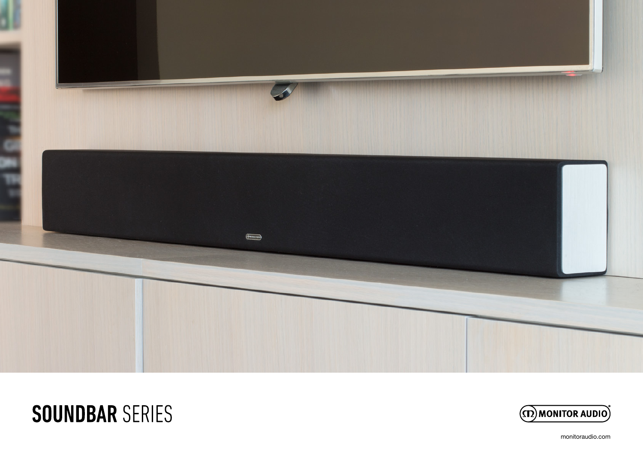

# **SOUNDBAR SERIES**



monitoraudio.com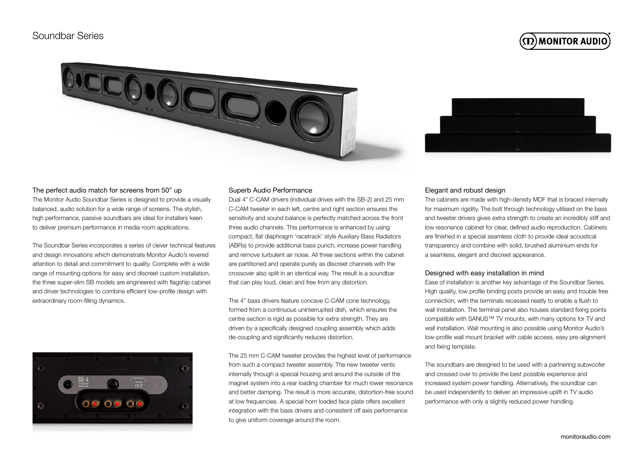$\bf (\Omega)$ MONITOR AUDIO





### The perfect audio match for screens from 50" up

The Monitor Audio Soundbar Series is designed to provide a visually balanced, audio solution for a wide range of screens. The stylish, high performance, passive soundbars are ideal for installers keen to deliver premium performance in media room applications.

The Soundbar Series incorporates a series of clever technical features and design innovations which demonstrate Monitor Audio's revered attention to detail and commitment to quality. Complete with a wide range of mounting options for easy and discreet custom installation, the three super-slim SB models are engineered with flagship cabinet and driver technologies to combine efficient low-profile design with extraordinary room-filling dynamics.



### Superb Audio Performance

Dual 4" C-CAM drivers (individual drives with the SB-2) and 25 mm C-CAM tweeter in each left, centre and right section ensures the sensitivity and sound balance is perfectly matched across the front three audio channels. This performance is enhanced by using compact, flat diaphragm 'racetrack' style Auxiliary Bass Radiators (ABRs) to provide additional bass punch, increase power handling and remove turbulent air noise. All three sections within the cabinet are partitioned and operate purely as discreet channels with the crossover also split in an identical way. The result is a soundbar that can play loud, clean and free from any distortion.

The 4" bass drivers feature concave C-CAM cone technology, formed from a continuous uninterrupted dish, which ensures the centre section is rigid as possible for extra strength. They are driven by a specifically designed coupling assembly which adds de-coupling and significantly reduces distortion.

The 25 mm C-CAM tweeter provides the highest level of performance from such a compact tweeter assembly. The new tweeter vents internally through a special housing and around the outside of the magnet system into a rear loading chamber for much lower resonance and better damping. The result is more accurate, distortion-free sound at low frequencies. A special horn loaded face plate offers excellent integration with the bass drivers and consistent off axis performance to give uniform coverage around the room.

#### Elegant and robust design

The cabinets are made with high-density MDF that is braced internally for maximum rigidity. The bolt through technology utilised on the bass and tweeter drivers gives extra strength to create an incredibly stiff and low resonance cabinet for clear, defined audio reproduction. Cabinets are finished in a special seamless cloth to provide ideal acoustical transparency and combine with solid, brushed aluminium ends for a seamless, elegant and discreet appearance.

### Designed with easy installation in mind

Ease of installation is another key advantage of the Soundbar Series. High quality, low profile binding posts provide an easy and trouble free connection, with the terminals recessed neatly to enable a flush to wall installation. The terminal panel also houses standard fixing points compatible with SANUS™ TV mounts, with many options for TV and wall installation. Wall mounting is also possible using Monitor Audio's low-profile wall mount bracket with cable access, easy pre-alignment and fixing template.

The soundbars are designed to be used with a partnering subwoofer and crossed over to provide the best possible experience and increased system power handling. Alternatively, the soundbar can be used independently to deliver an impressive uplift in TV audio performance with only a slightly reduced power handling.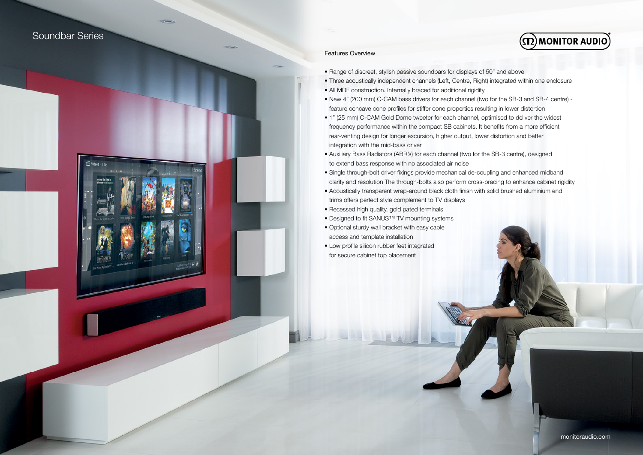### Soundbar Series



### Features Overview

- Range of discreet, stylish passive soundbars for displays of 50" and above
- Three acoustically independent channels (Left, Centre, Right) integrated within one enclosure
- All MDF construction. Internally braced for additional rigidity
- New 4" (200 mm) C-CAM bass drivers for each channel (two for the SB-3 and SB-4 centre) feature concave cone profiles for stiffer cone properties resulting in lower distortion
- 1" (25 mm) C-CAM Gold Dome tweeter for each channel, optimised to deliver the widest frequency performance within the compact SB cabinets. It benefits from a more efficient rear-venting design for longer excursion, higher output, lower distortion and better integration with the mid-bass driver
- Auxiliary Bass Radiators (ABR's) for each channel (two for the SB-3 centre), designed to extend bass response with no associated air noise
- Single through-bolt driver fixings provide mechanical de-coupling and enhanced midband clarity and resolution The through-bolts also perform cross-bracing to enhance cabinet rigidity
- Acoustically transparent wrap-around black cloth finish with solid brushed aluminium end trims offers perfect style complement to TV displays
- Recessed high quality, gold pated terminals
- Designed to fit SANUS™ TV mounting systems
- Optional sturdy wall bracket with easy cable access and template installation
- Low profile silicon rubber feet integrated for secure cabinet top placement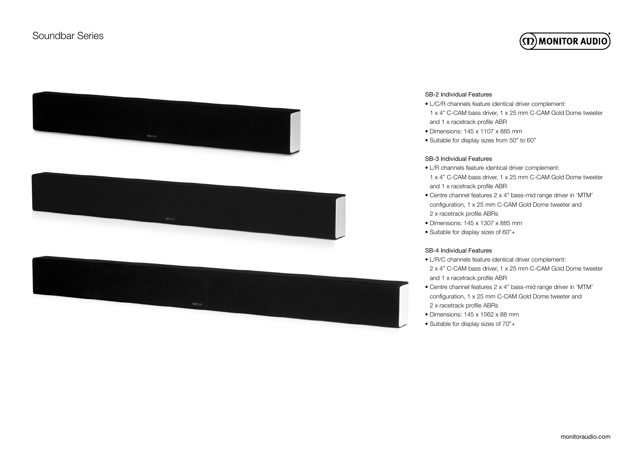# $\bf (\Omega)$ MONITOR AUDIO



### SB-2 Individual Features

- L/C/R channels feature identical driver complement: 1 x 4" C-CAM bass driver, 1 x 25 mm C-CAM Gold Dome tweeter and 1 x racetrack profile ABR
- Dimensions: 145 x 1107 x 885 mm
- Suitable for display sizes from 50" to 60"

### SB-3 Individual Features

- L/R channels feature identical driver complement:
- 1 x 4" C-CAM bass driver, 1 x 25 mm C-CAM Gold Dome tweeter and 1 x racetrack profile ABR
- Centre channel features 2 x 4" bass-mid range driver in 'MTM' configuration, 1 x 25 mm C-CAM Gold Dome tweeter and 2 x racetrack profile ABRs
- Dimensions: 145 x 1307 x 885 mm
- Suitable for display sizes of 60"+

### SB-4 Individual Features

- L/R/C channels feature identical driver complement: 2 x 4" C-CAM bass driver, 1 x 25 mm C-CAM Gold Dome tweeter and 1 x racetrack profile ABR
- Centre channel features 2 x 4" bass-mid range driver in 'MTM' configuration, 1 x 25 mm C-CAM Gold Dome tweeter and 2 x racetrack profile ABRs
- Dimensions: 145 x 1562 x 88 mm
- Suitable for display sizes of 70"+